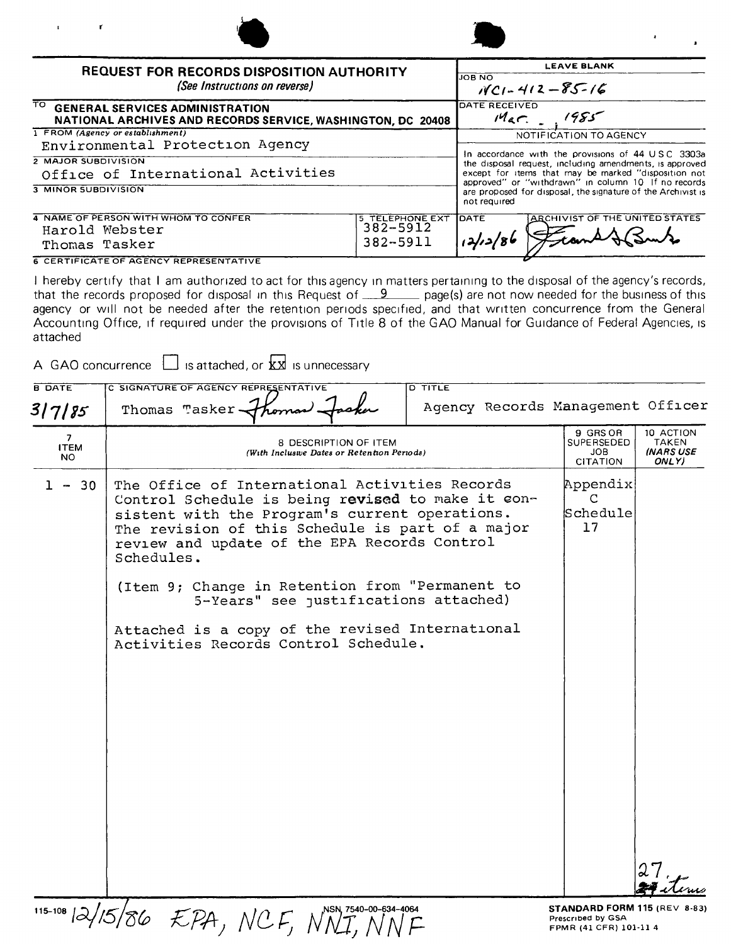| <b>REQUEST FOR RECORDS DISPOSITION AUTHORITY</b>                                                              |                 |                                                                                                                                                                      | <b>LEAVE BLANK</b>                                                                                                  |  |
|---------------------------------------------------------------------------------------------------------------|-----------------|----------------------------------------------------------------------------------------------------------------------------------------------------------------------|---------------------------------------------------------------------------------------------------------------------|--|
| (See Instructions on reverse)                                                                                 |                 | <b>JOB NO</b>                                                                                                                                                        | $11C1 - 412 - 85 - 16$                                                                                              |  |
| TO .<br><b>GENERAL SERVICES ADMINISTRATION</b><br>NATIONAL ARCHIVES AND RECORDS SERVICE, WASHINGTON, DC 20408 |                 | DATE RECEIVED                                                                                                                                                        | $M_{AC}$ , $1985$                                                                                                   |  |
| 1 FROM (Agency or establishment)                                                                              |                 |                                                                                                                                                                      | NOTIFICATION TO AGENCY                                                                                              |  |
| Environmental Protection Agency                                                                               |                 | In accordance with the provisions of 44 USC 3303a<br>the disposal request, including amendments, is approved<br>except for items that may be marked "disposition not |                                                                                                                     |  |
| 2 MAJOR SUBDIVISION                                                                                           |                 |                                                                                                                                                                      |                                                                                                                     |  |
| Office of International Activities                                                                            |                 |                                                                                                                                                                      |                                                                                                                     |  |
| 3 MINOR SUBDIVISION                                                                                           |                 | not required                                                                                                                                                         | approved" or "withdrawn" in column 10 If no records<br>are proposed for disposal, the signature of the Archivist is |  |
| 4 NAME OF PERSON WITH WHOM TO CONFER                                                                          | 5 TELEPHONE EXT | Ірате                                                                                                                                                                | ARCHIVIST OF THE UNITED STATES                                                                                      |  |
| Harold Webster                                                                                                | 382-5912        |                                                                                                                                                                      |                                                                                                                     |  |
| Thomas Tasker                                                                                                 | 382-5911        |                                                                                                                                                                      |                                                                                                                     |  |

**6 CERTIFICATE OF AGENCY REPRESENTATIVE** 

 $\Box$ 

 $\mathbf{r}$ 

 $\mathbf{r}$ 

I hereby certify that I am authorized to act for this agency in matters pertaining to the disposal of the agency's records, that the records proposed for disposal in this Request of  $\_9$  page(s) are not now needed for the business of this agency or will not be needed after the retention periods specified, and that written concurrence from the General Accounting Office, if required under the provisions of Title 8 of the GAO Manual for Guidance of Federal Agencies, is attached

 $\Box$ 

|                                      | is attached, or <b>kx</b> is unnecessary<br>A GAO concurrence $\Box$                                                                                                                                                                                                                                                                                                                                                                                           |                                                                             |                                                 |
|--------------------------------------|----------------------------------------------------------------------------------------------------------------------------------------------------------------------------------------------------------------------------------------------------------------------------------------------------------------------------------------------------------------------------------------------------------------------------------------------------------------|-----------------------------------------------------------------------------|-------------------------------------------------|
| <b>B DATE</b><br>317185              | C SIGNATURE OF AGENCY REPRESENTATIVE<br><b>D TITLE</b><br>Agency Records Management Officer<br>Thomas Tasker-                                                                                                                                                                                                                                                                                                                                                  |                                                                             |                                                 |
| 7 <sup>7</sup><br><b>ITEM</b><br>NO. | 8 DESCRIPTION OF ITEM<br>(With Inclusive Dates or Retention Periods)                                                                                                                                                                                                                                                                                                                                                                                           | 9 GRS OR<br>SUPERSEDED<br>JOB<br><b>CITATION</b>                            | 10 ACTION<br><b>TAKEN</b><br>(NARS USE<br>ONLY) |
| $1 -$<br>-30                         | The Office of International Activities Records<br>Control Schedule is being revised to make it con-<br>sistent with the Program's current operations.<br>The revision of this Schedule is part of a major<br>review and update of the EPA Records Control<br>Schedules.<br>(Item 9; Change in Retention from "Permanent to<br>5-Years" see justifications attached)<br>Attached is a copy of the revised International<br>Activities Records Control Schedule. | Appendix<br>$\mathbf C$<br>Schedule<br>17                                   |                                                 |
|                                      | 115-108 $\frac{1}{2}/15/86$ EPA, NCF, NNT, NNF                                                                                                                                                                                                                                                                                                                                                                                                                 | STANDARD FORM 115 (REV 8-83)<br>Prescribed by GSA<br>FPMR (41 CFR) 101-11 4 |                                                 |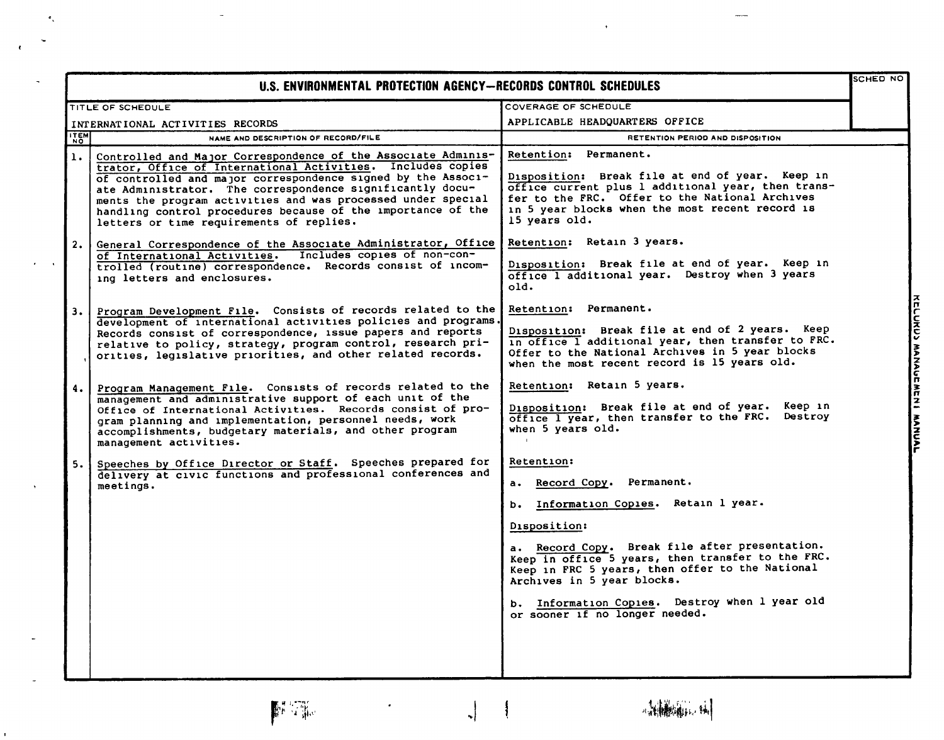|                | U.S. ENVIRONMENTAL PROTECTION AGENCY-RECORDS CONTROL SCHEDULES                                                                                                                                                                                                                                                                                                                                                                        |                                                                                                                                                                                                                                                                                                                                                                                                 | SCHED NO                        |
|----------------|---------------------------------------------------------------------------------------------------------------------------------------------------------------------------------------------------------------------------------------------------------------------------------------------------------------------------------------------------------------------------------------------------------------------------------------|-------------------------------------------------------------------------------------------------------------------------------------------------------------------------------------------------------------------------------------------------------------------------------------------------------------------------------------------------------------------------------------------------|---------------------------------|
|                | TITLE OF SCHEDULE                                                                                                                                                                                                                                                                                                                                                                                                                     | COVERAGE OF SCHEDULE                                                                                                                                                                                                                                                                                                                                                                            |                                 |
|                | INTERNATIONAL ACTIVITIES RECORDS                                                                                                                                                                                                                                                                                                                                                                                                      | APPLICABLE HEADQUARTERS OFFICE                                                                                                                                                                                                                                                                                                                                                                  |                                 |
| <b>ITEM</b>    | NAME AND DESCRIPTION OF RECORD/FILE                                                                                                                                                                                                                                                                                                                                                                                                   | RETENTION PERIOD AND DISPOSITION                                                                                                                                                                                                                                                                                                                                                                |                                 |
| $\mathbf{1}$ . | Controlled and Major Correspondence of the Associate Adminis-<br>trator, Office of International Activities. Includes copies<br>of controlled and major correspondence signed by the Associ-<br>ate Administrator. The correspondence significantly docu-<br>ments the program activities and was processed under special<br>handling control procedures because of the importance of the<br>letters or time requirements of replies. | Retention: Permanent.<br>Disposition: Break file at end of year. Keep in<br>office current plus 1 additional year, then trans-<br>fer to the FRC. Offer to the National Archives<br>in 5 year blocks when the most recent record is<br>15 years old.                                                                                                                                            |                                 |
| 2.             | General Correspondence of the Associate Administrator, Office<br>of International Activities. Includes copies of non-con-<br>trolled (routine) correspondence. Records consist of incom-<br>ing letters and enclosures.                                                                                                                                                                                                               | Retention: Retain 3 years.<br>Disposition: Break file at end of year. Keep in<br>office I additional year. Destroy when 3 years<br>old.                                                                                                                                                                                                                                                         |                                 |
| 3.1            | Program Development File. Consists of records related to the<br>development of international activities policies and programs.<br>Records consist of correspondence, issue papers and reports<br>relative to policy, strategy, program control, research pri-<br>orities, legislative priorities, and other related records.                                                                                                          | Retention: Permanent.<br>Disposition: Break file at end of 2 years. Keep<br>in office I additional year, then transfer to FRC.<br>Offer to the National Archives in 5 year blocks<br>when the most recent record is 15 years old.                                                                                                                                                               |                                 |
| 4.             | Program Management File. Consists of records related to the<br>management and administrative support of each unit of the<br>Office of International Activities. Records consist of pro-<br>gram planning and implementation, personnel needs, work<br>accomplishments, budgetary materials, and other program<br>management activities.                                                                                               | Retention: Retain 5 years.<br>Disposition: Break file at end of year. Keep in<br>office I year, then transfer to the FRC. Destroy<br>when 5 years old.                                                                                                                                                                                                                                          | <b>KELUNUMI MANAURAL MANUAL</b> |
| 5.             | Speeches by Office Director or Staff. Speeches prepared for<br>delivery at civic functions and professional conferences and<br>meetings.                                                                                                                                                                                                                                                                                              | Retention:<br>Record Copy. Permanent.<br>$\mathbf{a}$ .<br>Information Copies. Retain 1 year.<br>ь.<br>Disposition:<br>a. Record Copy. Break file after presentation.<br>Keep in office 5 years, then transfer to the FRC.<br>Keep in FRC 5 years, then offer to the National<br>Archives in 5 year blocks.<br>b. Information Copies. Destroy when 1 year old<br>or sooner if no longer needed. |                                 |



 $\frac{1}{\sqrt{2}}$ 

 $\mathbf{e}_k$ 

 $\sim$   $\sim$ 

 $\bar{\mathbf{r}}$ 

 $\epsilon$ 

 $\overline{\phantom{a}}$ 

 $\frac{1}{2}$ 

- 想翻阅解,

 $\overline{\phantom{a}}$ 

 $\bar{\star}$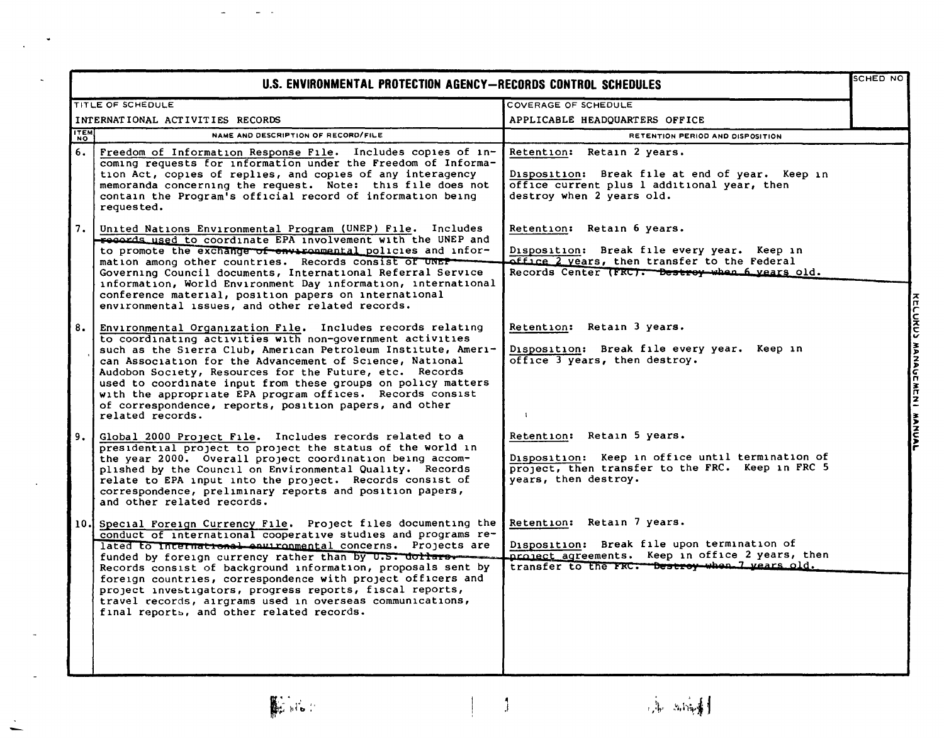|      | U.S. ENVIRONMENTAL PROTECTION AGENCY-RECORDS CONTROL SCHEDULES                                                                                                                                                                                                                                                                                                                                                                                                                                                                                              |                                                                                                                                                                                 |                           |
|------|-------------------------------------------------------------------------------------------------------------------------------------------------------------------------------------------------------------------------------------------------------------------------------------------------------------------------------------------------------------------------------------------------------------------------------------------------------------------------------------------------------------------------------------------------------------|---------------------------------------------------------------------------------------------------------------------------------------------------------------------------------|---------------------------|
|      | TITLE OF SCHEDULE                                                                                                                                                                                                                                                                                                                                                                                                                                                                                                                                           | COVERAGE OF SCHEDULE                                                                                                                                                            |                           |
|      | INTERNATIONAL ACTIVITIES RECORDS                                                                                                                                                                                                                                                                                                                                                                                                                                                                                                                            | APPLICABLE HEADQUARTERS OFFICE                                                                                                                                                  |                           |
| ITEM | NAME AND DESCRIPTION OF RECORD/FILE                                                                                                                                                                                                                                                                                                                                                                                                                                                                                                                         | RETENTION PERIOD AND DISPOSITION                                                                                                                                                |                           |
| 6.   | Freedom of Information Response File. Includes copies of in-<br>coming requests for information under the Freedom of Informa-<br>tion Act, copies of replies, and copies of any interagency<br>memoranda concerning the request. Note: this file does not<br>contain the Program's official record of information being<br>requested.                                                                                                                                                                                                                       | Retention: Retain 2 years.<br>Disposition: Break file at end of year. Keep in<br>office current plus 1 additional year, then<br>destroy when 2 years old.                       |                           |
| 7.   | United Nations Environmental Program (UNEP) File. Includes<br>records used to coordinate EPA involvement with the UNEP and<br>to promote the exchange of environmental policies and infor-<br>mation among other countries. Records consist of UNEP-<br>Governing Council documents, International Referral Service<br>information, World Environment Day information, international<br>conference material, position papers on international<br>environmental issues, and other related records.                                                           | Retention: Retain 6 years.<br>Disposition: Break file every year. Keep in<br>office 2 years, then transfer to the Federal<br>Records Center (FRC). Bestroy when 6 years old.    |                           |
| 8.   | Environmental Organization File. Includes records relating<br>to coordinating activities with non-government activities<br>such as the Sierra Club, American Petroleum Institute, Ameri-<br>can Association for the Advancement of Science, National<br>Audobon Society, Resources for the Future, etc. Records<br>used to coordinate input from these groups on policy matters<br>with the appropriate EPA program offices. Records consist<br>of correspondence, reports, position papers, and other<br>related records.                                  | Retention: Retain 3 years.<br>Disposition: Break file every year. Keep in<br>office 3 years, then destroy.<br>$\mathbf{1}$                                                      | KELUKUY MANAULMENI MANAUL |
| 9.   | Global 2000 Project File. Includes records related to a<br>presidential project to project the status of the world in<br>the year 2000. Overall project coordination being accom-<br>plished by the Council on Environmental Quality. Records<br>relate to EPA input into the project. Records consist of<br>correspondence, preliminary reports and position papers,<br>and other related records.                                                                                                                                                         | Retention: Retain 5 years.<br>Disposition: Keep in office until termination of<br>project, then transfer to the FRC. Keep in FRC 5<br>vears, then destroy.                      |                           |
| 10.1 | Special Foreign Currency File. Project files documenting the<br>conduct of international cooperative studies and programs re-<br>lated to international cauironmental concerns. Projects are<br>funded by foreign currency rather than by U.S. dollars<br>Records consist of background information, proposals sent by<br>foreign countries, correspondence with project officers and<br>project investigators, progress reports, fiscal reports,<br>travel records, airgrams used in overseas communications,<br>final reports, and other related records. | Retention: Retain 7 years.<br>Disposition: Break file upon termination of<br>project agreements. Keep in office 2 years, then<br>transfer to the FRC. Destroy when I vears old. |                           |

 $\mathbb{R}^{n}$ 

 $\ddot{\phantom{0}}$ 

 $\mathbf{I}$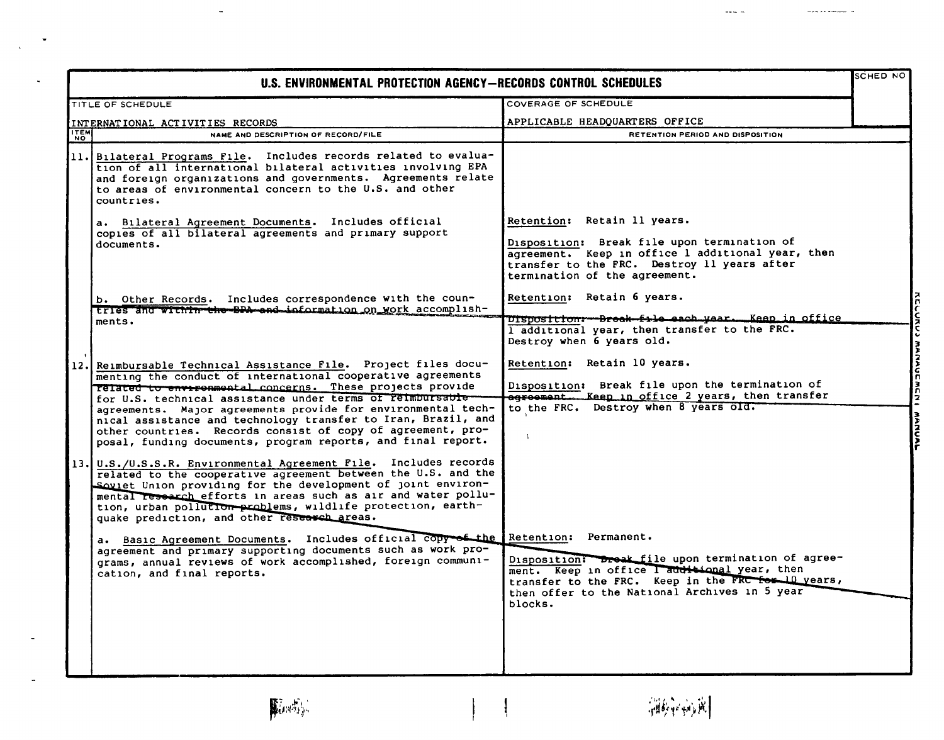|             | U.S. ENVIRONMENTAL PROTECTION AGENCY-RECORDS CONTROL SCHEDULES                                                                                                                                                                                                                                                                                                                                                                                                                                                                                                                                                                                                                                                                                                                                                                                                                                                                                                                                                                                                                                                                                                   |                                                                                                                                                                                                                                                                                                                                                                                                     | SCHED NO                           |
|-------------|------------------------------------------------------------------------------------------------------------------------------------------------------------------------------------------------------------------------------------------------------------------------------------------------------------------------------------------------------------------------------------------------------------------------------------------------------------------------------------------------------------------------------------------------------------------------------------------------------------------------------------------------------------------------------------------------------------------------------------------------------------------------------------------------------------------------------------------------------------------------------------------------------------------------------------------------------------------------------------------------------------------------------------------------------------------------------------------------------------------------------------------------------------------|-----------------------------------------------------------------------------------------------------------------------------------------------------------------------------------------------------------------------------------------------------------------------------------------------------------------------------------------------------------------------------------------------------|------------------------------------|
|             | TITLE OF SCHEDULE                                                                                                                                                                                                                                                                                                                                                                                                                                                                                                                                                                                                                                                                                                                                                                                                                                                                                                                                                                                                                                                                                                                                                | COVERAGE OF SCHEDULE                                                                                                                                                                                                                                                                                                                                                                                |                                    |
|             | INTERNATIONAL ACTIVITIES RECORDS                                                                                                                                                                                                                                                                                                                                                                                                                                                                                                                                                                                                                                                                                                                                                                                                                                                                                                                                                                                                                                                                                                                                 | APPLICABLE HEADQUARTERS OFFICE                                                                                                                                                                                                                                                                                                                                                                      |                                    |
| <b>ITEM</b> | NAME AND DESCRIPTION OF RECORD/FILE                                                                                                                                                                                                                                                                                                                                                                                                                                                                                                                                                                                                                                                                                                                                                                                                                                                                                                                                                                                                                                                                                                                              | RETENTION PERIOD AND DISPOSITION                                                                                                                                                                                                                                                                                                                                                                    |                                    |
|             | 11. Bilateral Programs File. Includes records related to evalua-<br>tion of all international bilateral activities involving EPA<br>and foreign organizations and governments. Agreements relate<br>to areas of environmental concern to the U.S. and other<br>countries.                                                                                                                                                                                                                                                                                                                                                                                                                                                                                                                                                                                                                                                                                                                                                                                                                                                                                        |                                                                                                                                                                                                                                                                                                                                                                                                     |                                    |
|             | a. Bilateral Agreement Documents. Includes official<br>copies of all bilateral agreements and primary support<br>documents.                                                                                                                                                                                                                                                                                                                                                                                                                                                                                                                                                                                                                                                                                                                                                                                                                                                                                                                                                                                                                                      | Retention: Retain 11 years.<br>Disposition: Break file upon termination of<br>agreement. Keep in office 1 additional year, then<br>transfer to the FRC. Destroy 11 years after<br>termination of the agreement.                                                                                                                                                                                     |                                    |
|             | b. Other Records. Includes correspondence with the coun-<br>tries and within the BPA and information on work accomplish-<br>ments.                                                                                                                                                                                                                                                                                                                                                                                                                                                                                                                                                                                                                                                                                                                                                                                                                                                                                                                                                                                                                               | Retention: Retain 6 years.<br>DISposition: Break-file each year. Keep in office<br>I additional year, then transfer to the FRC.<br>Destroy when 6 years old.                                                                                                                                                                                                                                        | スワインスてい                            |
|             | 12. Reimbursable Technical Assistance File. Project files docu-<br>menting the conduct of international cooperative agreements<br>Telated to environmental concerns. These projects provide<br>for U.S. technical assistance under terms of reimbursable-<br>agreements. Major agreements provide for environmental tech-<br>nical assistance and technology transfer to Iran, Brazil, and<br>other countries. Records consist of copy of agreement, pro-<br>posal, funding documents, program reports, and final report.<br>13. U.S./U.S.S.R. Environmental Agreement File. Includes records<br>related to the cooperative agreement between the U.S. and the<br>Soviet Union providing for the development of joint environ-<br>mental research efforts in areas such as air and water pollu-<br>tion, urban pollution problems, wildlife protection, earth-<br>quake prediction, and other research areas.<br>a. Basic Agreement Documents. Includes official copy of the Retention: Permanent.<br>agreement and primary supporting documents such as work pro-<br>grams, annual reviews of work accomplished, foreign communi-<br>cation, and final reports. | Retention: Retain 10 years.<br>Disposition: Break file upon the termination of<br>egroement. Keep in office 2 years, then transfer<br>to the FRC. Destroy when 8 years old.<br>Disposition: Dreak file upon termination of agree-<br>ment. Keep in office I additional year, then<br>transfer to the FRC. Keep in the FRC for 10 years,<br>then offer to the National Archives in 5 year<br>blocks. | <b>MANAUCMCNI</b><br><b>AANUAL</b> |
|             |                                                                                                                                                                                                                                                                                                                                                                                                                                                                                                                                                                                                                                                                                                                                                                                                                                                                                                                                                                                                                                                                                                                                                                  |                                                                                                                                                                                                                                                                                                                                                                                                     |                                    |

 $\frac{1}{2}$ 

 $\overline{a}$ 

 $\left\langle \widehat{\mathcal{A}}\widehat{\mathcal{B}}\widehat{\mathcal{B}}\widehat{\mathcal{B}}\widehat{\mathcal{B}}\widehat{\mathcal{B}}\right|$ 

 $\cdots$   $\ddot{\phantom{0}}$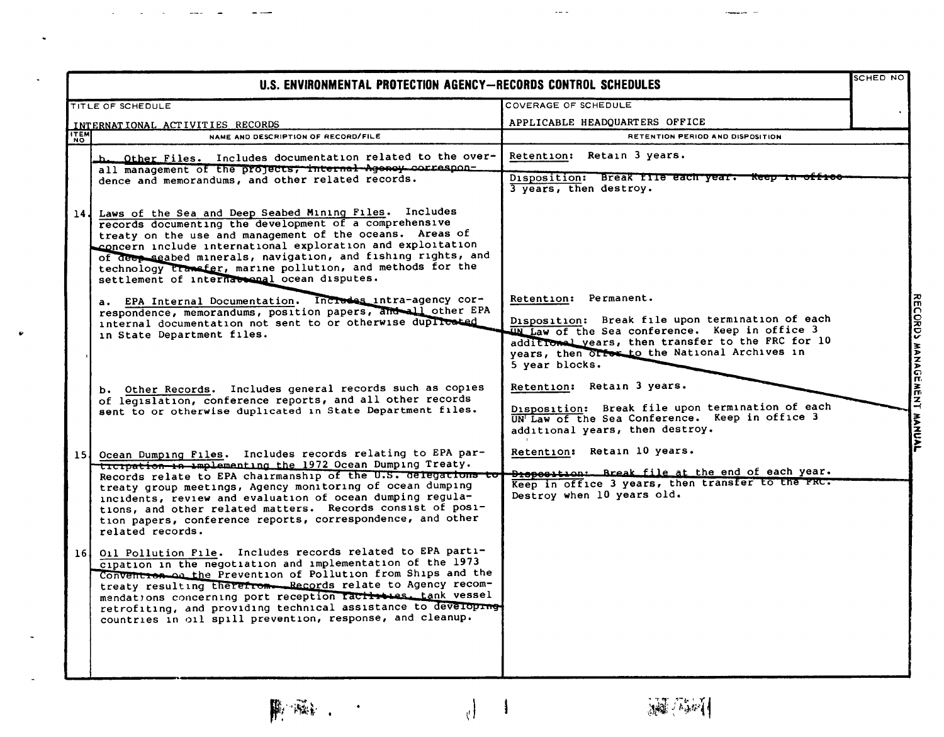|             | U.S. ENVIRONMENTAL PROTECTION AGENCY-RECORDS CONTROL SCHEDULES                                                                                                                                                                                                                                                                                                                                                                                                        |                                                                                                                                                                                                                                                     | <b>SCHED NO</b> |                           |
|-------------|-----------------------------------------------------------------------------------------------------------------------------------------------------------------------------------------------------------------------------------------------------------------------------------------------------------------------------------------------------------------------------------------------------------------------------------------------------------------------|-----------------------------------------------------------------------------------------------------------------------------------------------------------------------------------------------------------------------------------------------------|-----------------|---------------------------|
|             | TITLE OF SCHEDULE                                                                                                                                                                                                                                                                                                                                                                                                                                                     | COVERAGE OF SCHEDULE                                                                                                                                                                                                                                |                 |                           |
|             | INTERNATIONAL ACTIVITIES RECORDS                                                                                                                                                                                                                                                                                                                                                                                                                                      | APPLICABLE HEADQUARTERS OFFICE                                                                                                                                                                                                                      |                 |                           |
| <b>ITEM</b> | NAME AND DESCRIPTION OF RECORD/FILE                                                                                                                                                                                                                                                                                                                                                                                                                                   | RETENTION PERIOD AND DISPOSITION                                                                                                                                                                                                                    |                 |                           |
|             | Other Files. Includes documentation related to the over-<br>حط<br>all management of the projects, internal Agency correspon-<br>dence and memorandums, and other related records.                                                                                                                                                                                                                                                                                     | Retention: Retain 3 years.<br>Disposition: Break file each year. Keep in<br>3 years, then destroy.                                                                                                                                                  |                 |                           |
| 14 J        | Laws of the Sea and Deep Seabed Mining Files. Includes<br>records documenting the development of a comprehensive<br>treaty on the use and management of the oceans. Areas of<br>concern include international exploration and exploitation<br>of deep seabed minerals, navigation, and fishing rights, and<br>technology transfer, marine pollution, and methods for the<br>settlement of international ocean disputes.                                               |                                                                                                                                                                                                                                                     |                 |                           |
|             | EPA Internal Documentation. Increases intra-agency cor-<br>$a \cdot$<br>respondence, memorandums, position papers, and all other EPA<br>internal documentation not sent to or otherwise duplicated<br>in State Department files.                                                                                                                                                                                                                                      | Retention: Permanent.<br>Disposition: Break file upon termination of each<br>IN Law of the Sea conference. Keep in office 3<br>additional years, then transfer to the FRC for 10<br>years, then offer to the National Archives in<br>5 year blocks. |                 | RECORDS MANAGEMENT MANUAL |
|             | b. Other Records. Includes general records such as copies<br>of legislation, conference reports, and all other records<br>sent to or otherwise duplicated in State Department files.                                                                                                                                                                                                                                                                                  | Retention: Retain 3 years.<br>Disposition: Break file upon termination of each<br>UN Law of the Sea Conference. Keep in office 3<br>additional years, then destroy.                                                                                 |                 |                           |
|             | 15 Ocean Dumping Files. Includes records relating to EPA par-<br>ticipation in implementing the 1972 Ocean Dumping Treaty.<br>Records relate to EPA chairmanship of the U.S. delegations to<br>treaty group meetings, Agency monitoring of ocean dumping<br>incidents, review and evaluation of ocean dumping regula-<br>tions, and other related matters. Records consist of posi-<br>tion papers, conference reports, correspondence, and other<br>related records. | Retention: Retain 10 years.<br><b>Breposition:</b> Break file at the end of each year.<br>Keep in office 3 years, then transfer to the FRC.<br>Destroy when 10 years old.                                                                           |                 |                           |
| 161         | Oil Pollution File. Includes records related to EPA parti-<br>cipation in the negotiation and implementation of the 1973<br>Convention on the Prevention of Pollution from Ships and the<br>treaty resulting therefrom. Records relate to Agency recom-<br>mendations concerning port reception ractivies. tank vessel<br>retrofiting, and providing technical assistance to developing-<br>countries in oil spill prevention, response, and cleanup.                 |                                                                                                                                                                                                                                                     |                 |                           |

 $\sim$   $\sim$ 

÷.

 $\overline{\phantom{a}}$ 

 $\bullet$ 

 $\overline{\phantom{a}}$ 

 $\overline{\phantom{a}}$ 

 $\left\{\right._{y}$ 

**開電:** 

 $\ddot{\phantom{1}}$ 

**、减**小剂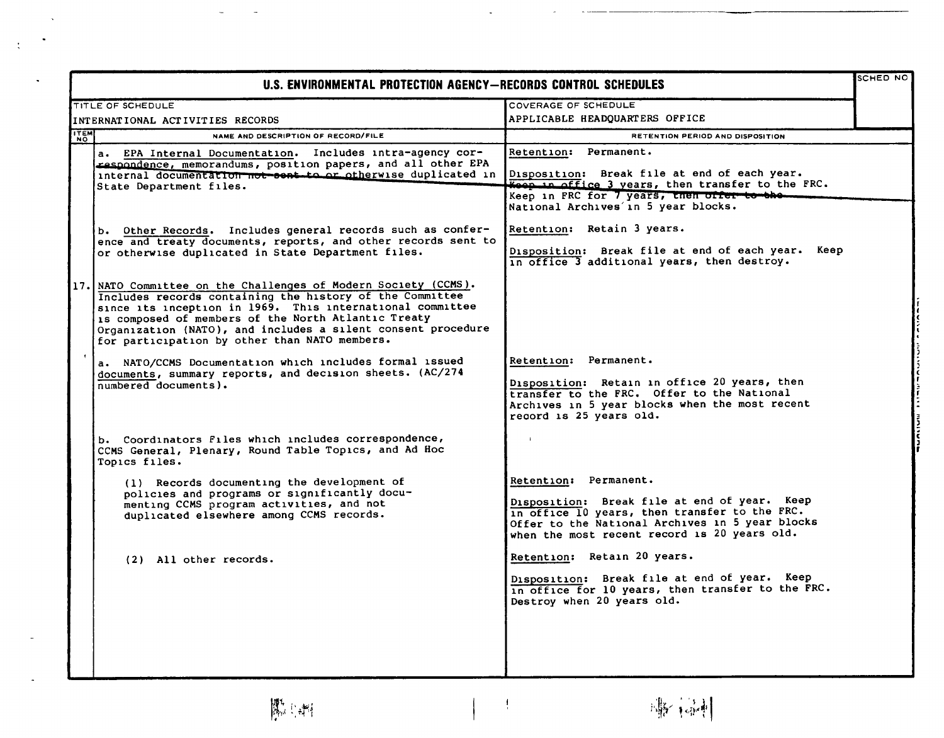|                          | U.S. ENVIRONMENTAL PROTECTION AGENCY-RECORDS CONTROL SCHEDULES                                                                                                                                                                                                                                                                                              |                                                                                                                                                                                                                           | SCHED NO |
|--------------------------|-------------------------------------------------------------------------------------------------------------------------------------------------------------------------------------------------------------------------------------------------------------------------------------------------------------------------------------------------------------|---------------------------------------------------------------------------------------------------------------------------------------------------------------------------------------------------------------------------|----------|
|                          | <b>TITLE OF SCHEDULE</b>                                                                                                                                                                                                                                                                                                                                    | COVERAGE OF SCHEDULE                                                                                                                                                                                                      |          |
|                          | INTERNATIONAL ACTIVITIES RECORDS                                                                                                                                                                                                                                                                                                                            | APPLICABLE HEADQUARTERS OFFICE                                                                                                                                                                                            |          |
| <b>ITEM</b><br><b>NO</b> | NAME AND DESCRIPTION OF RECORD/FILE                                                                                                                                                                                                                                                                                                                         | RETENTION PERIOD AND DISPOSITION                                                                                                                                                                                          |          |
|                          | a. EPA Internal Documentation. Includes intra-agency cor-<br>respondence, memorandums, position papers, and all other EPA<br>internal documentation not seat to or otherwise duplicated in Disposition: Break file at end of each year.<br>State Department files.                                                                                          | Retention: Permanent.<br>Keep in office 3 years, then transfer to the FRC.<br>Keep in FRC for 7 years, then offer to the<br>National Archives in 5 year blocks.                                                           |          |
|                          | b. Other Records. Includes general records such as confer-<br>ence and treaty documents, reports, and other records sent to<br>or otherwise duplicated in State Department files.                                                                                                                                                                           | Retention: Retain 3 years.<br>Disposition: Break file at end of each year. Keep<br>in office 3 additional years, then destroy.                                                                                            |          |
| 17.                      | NATO Committee on the Challenges of Modern Society (CCMS).<br>Includes records containing the history of the Committee<br>since its inception in 1969. This international committee<br>is composed of members of the North Atlantic Treaty<br>Organization (NATO), and includes a silent consent procedure<br>for participation by other than NATO members. |                                                                                                                                                                                                                           |          |
|                          | a. NATO/CCMS Documentation which includes formal issued<br>documents, summary reports, and decision sheets. (AC/274<br>numbered documents).                                                                                                                                                                                                                 | Retention: Permanent.<br>Disposition: Retain in office 20 years, then<br>transfer to the FRC. Offer to the National<br>Archives in 5 year blocks when the most recent<br>regord is 25 years old.                          |          |
|                          | b. Coordinators Files which includes correspondence,<br>CCMS General, Plenary, Round Table Topics, and Ad Hoc<br>Topics files.                                                                                                                                                                                                                              |                                                                                                                                                                                                                           |          |
|                          | (1) Records documenting the development of<br>policies and programs or significantly docu-<br>menting CCMS program activities, and not<br>duplicated elsewhere among CCMS records.                                                                                                                                                                          | Retention: Permanent.<br>Disposition: Break file at end of year. Keep<br>in office 10 years, then transfer to the FRC.<br>Offer to the National Archives in 5 year blocks<br>when the most recent record is 20 years old. |          |
|                          | (2) All other records.                                                                                                                                                                                                                                                                                                                                      | Retention: Retain 20 years.<br>Disposition: Break file at end of year. Keep<br>in office for 10 years, then transfer to the FRC.<br>Destroy when 20 years old.                                                            |          |
|                          |                                                                                                                                                                                                                                                                                                                                                             |                                                                                                                                                                                                                           |          |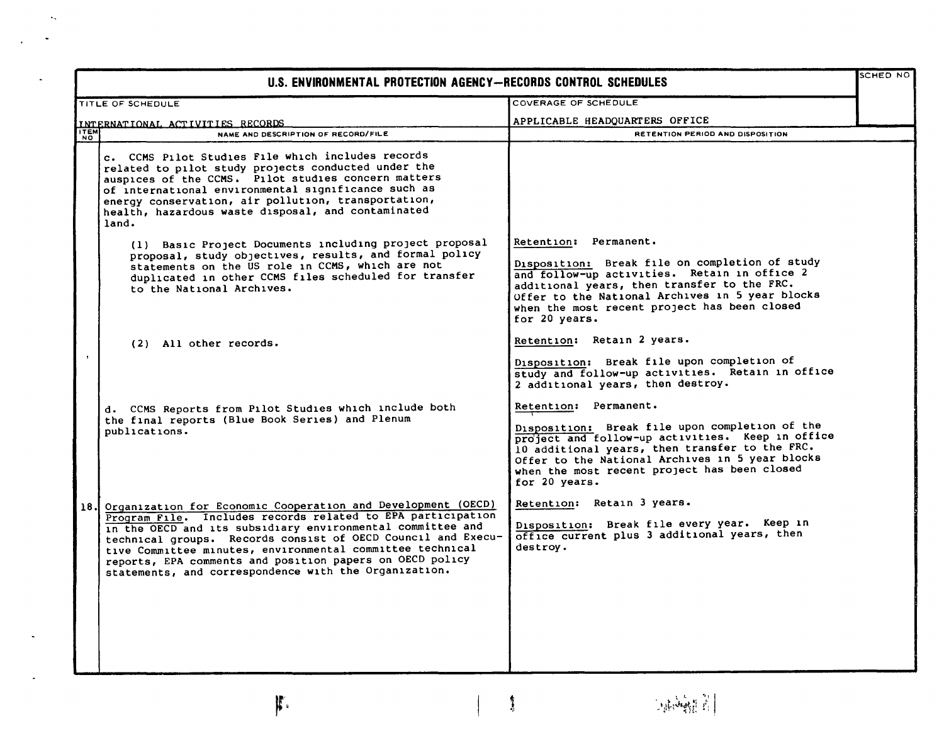|      | U.S. ENVIRONMENTAL PROTECTION AGENCY-RECORDS CONTROL SCHEDULES                                                                                                                                                                                                                                                                                                                                                                              |                                                                                                                                                                                                                                                                                                   |  |
|------|---------------------------------------------------------------------------------------------------------------------------------------------------------------------------------------------------------------------------------------------------------------------------------------------------------------------------------------------------------------------------------------------------------------------------------------------|---------------------------------------------------------------------------------------------------------------------------------------------------------------------------------------------------------------------------------------------------------------------------------------------------|--|
|      | <b>TITLE OF SCHEDULE</b>                                                                                                                                                                                                                                                                                                                                                                                                                    | <b>COVERAGE OF SCHEDULE</b>                                                                                                                                                                                                                                                                       |  |
|      |                                                                                                                                                                                                                                                                                                                                                                                                                                             | APPLICABLE HEADQUARTERS OFFICE                                                                                                                                                                                                                                                                    |  |
|      | INTERNATIONAL ACTIVITIES RECORDS<br>NAME AND DESCRIPTION OF RECORD/FILE                                                                                                                                                                                                                                                                                                                                                                     | RETENTION PERIOD AND DISPOSITION                                                                                                                                                                                                                                                                  |  |
|      | c. CCMS Pilot Studies File which includes records<br>related to pilot study projects conducted under the<br>auspices of the CCMS. Pilot studies concern matters<br>of international environmental significance such as<br>energy conservation, air pollution, transportation,<br>health, hazardous waste disposal, and contaminated<br>land.                                                                                                |                                                                                                                                                                                                                                                                                                   |  |
|      | (1) Basic Project Documents including project proposal<br>proposal, study objectives, results, and formal policy<br>statements on the US role in CCMS, which are not<br>duplicated in other CCMS files scheduled for transfer<br>to the National Archives.                                                                                                                                                                                  | Retention: Permanent.<br>Disposition: Break file on completion of study<br>and follow-up activities. Retain in office 2<br>additional years, then transfer to the FRC.<br>Offer to the National Archives in 5 year blocks<br>when the most recent project has been closed<br>for 20 years.        |  |
|      | (2) All other records.                                                                                                                                                                                                                                                                                                                                                                                                                      | Retention: Retain 2 years.<br>Disposition: Break file upon completion of<br>study and follow-up activities. Retain in office<br>2 additional years, then destroy.                                                                                                                                 |  |
|      | d. CCMS Reports from Pilot Studies which include both<br>the final reports (Blue Book Series) and Plenum<br>publications.                                                                                                                                                                                                                                                                                                                   | Retention: Permanent.<br>Disposition: Break file upon completion of the<br>project and follow-up activities. Keep in office<br>10 additional years, then transfer to the FRC.<br>Offer to the National Archives in 5 year blocks<br>when the most recent project has been closed<br>for 20 years. |  |
| 18 J | Organization for Economic Cooperation and Development (OECD)<br>Program File. Includes records related to EPA participation<br>in the OECD and its subsidiary environmental committee and<br>technical groups. Records consist of OECD Council and Execu-<br>tive Committee minutes, environmental committee technical<br>reports, EPA comments and position papers on OECD policy<br>statements, and correspondence with the Organization. | Retention: Retain 3 years.<br>Disposition: Break file every year. Keep in<br>office current plus 3 additional years, then<br>destroy.                                                                                                                                                             |  |

 $\frac{1}{2}$ 

 $\bar{\mathcal{A}}_n$ 

ſ

 $\ddot{\phantom{a}}$ 

 $\ddot{\phantom{a}}$ 

 $\mathbf{F}$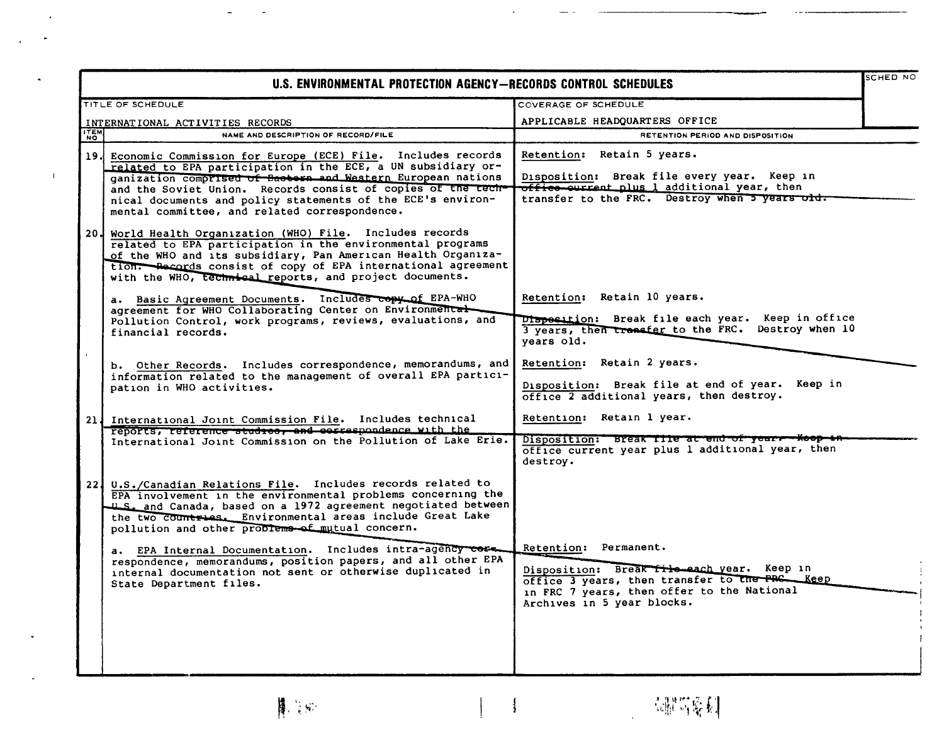|             | U.S. ENVIRONMENTAL PROTECTION AGENCY-RECORDS CONTROL SCHEDULES                                                                                                                                                                                                                                                                                                                                                                                                                                             |                                                                                                                                                                            | SCHED NO |
|-------------|------------------------------------------------------------------------------------------------------------------------------------------------------------------------------------------------------------------------------------------------------------------------------------------------------------------------------------------------------------------------------------------------------------------------------------------------------------------------------------------------------------|----------------------------------------------------------------------------------------------------------------------------------------------------------------------------|----------|
|             | TITLE OF SCHEDULE                                                                                                                                                                                                                                                                                                                                                                                                                                                                                          | COVERAGE OF SCHEDULE                                                                                                                                                       |          |
|             | INTERNATIONAL ACTIVITIES RECORDS                                                                                                                                                                                                                                                                                                                                                                                                                                                                           | APPLICABLE HEADQUARTERS OFFICE                                                                                                                                             |          |
| <b>ITEM</b> | NAME AND DESCRIPTION OF RECORD/FILE                                                                                                                                                                                                                                                                                                                                                                                                                                                                        | RETENTION PERIOD AND DISPOSITION                                                                                                                                           |          |
|             | 19. Economic Commission for Europe (ECE) File. Includes records<br>related to EPA participation in the ECE, a UN subsidiary or-<br>ganization comprised of Bastern and Western European nations<br>and the Soviet Union. Records consist of copies of the tech-<br>nical documents and policy statements of the ECE's environ-<br>mental committee, and related correspondence.                                                                                                                            | Retention: Retain 5 years.<br>Disposition: Break file every year. Keep in<br>office ourrent plus 1 additional year, then<br>transfer to the FRC. Destroy when 5 years old. |          |
|             | 20. World Health Organization (WHO) File. Includes records<br>related to EPA participation in the environmental programs<br>of the WHO and its subsidiary, Pan American Health Organiza-<br>tion. Records consist of copy of EPA international agreement<br>with the WHO, technical reports, and project documents.                                                                                                                                                                                        |                                                                                                                                                                            |          |
|             | a. Basic Agreement Documents. Includes copy of EPA-WHO<br>agreement for WHO Collaborating Center on Environmental<br>Pollution Control, work programs, reviews, evaluations, and<br>financial records.                                                                                                                                                                                                                                                                                                     | Retention: Retain 10 years.<br>Disposition: Break file each year. Keep in office<br>3 years, then transfer to the FRC. Destroy when 10<br>years old.                       |          |
|             | b. Other Records. Includes correspondence, memorandums, and<br>information related to the management of overall EPA partici-<br>pation in WHO activities.                                                                                                                                                                                                                                                                                                                                                  | Retention: Retain 2 years.<br>Disposition: Break file at end of year. Keep in<br>office 2 additional years, then destroy.                                                  |          |
|             | 21 International Joint Commission File. Includes technical<br>reports, reference studies, and escrespondence with the                                                                                                                                                                                                                                                                                                                                                                                      | Retention: Retain 1 year.                                                                                                                                                  |          |
|             | International Joint Commission on the Pollution of Lake Erie.                                                                                                                                                                                                                                                                                                                                                                                                                                              | Disposition: Break file at end of year- Koop<br>office current year plus 1 additional year, then<br>destroy.                                                               |          |
|             | 22. U.S./Canadian Relations File. Includes records related to<br>EPA involvement in the environmental problems concerning the<br>U.S. and Canada, based on a 1972 agreement negotiated between<br>the two countries. Environmental areas include Great Lake<br>pollution and other problems of mutual concern.<br>a. EPA Internal Documentation. Includes intra-agency cose.<br>respondence, memorandums, position papers, and all other EPA<br>internal documentation not sent or otherwise duplicated in | Retention: Permanent.<br>Disposition: Break file each year. Keep in<br>office 3 years, then transfer to the PRC __ Keep                                                    |          |
|             | State Department files.                                                                                                                                                                                                                                                                                                                                                                                                                                                                                    | in FRC 7 years, then offer to the National<br>Archives in 5 year blocks.                                                                                                   |          |

 $\overline{\mathcal{A}}$ 

**博** 等

 $\Box$ 

 $\bar{\star}$ 

 $\bar{A}$ 

 $\tilde{\phantom{a}}$ 

 $\ddot{\phantom{a}}$ 

 $\omega$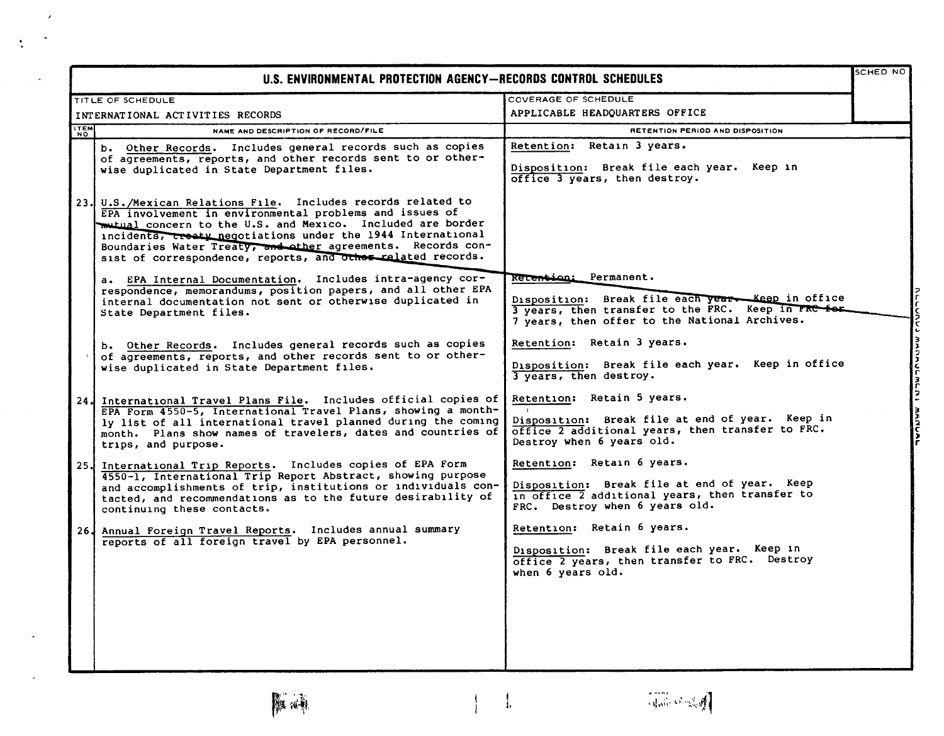|             | U.S. ENVIRONMENTAL PROTECTION AGENCY-RECORDS CONTROL SCHEDULES                                                                                                                                                                                                                                                                                                                     |                                                                                                                                                                                    | <b>SCHED NO</b> |
|-------------|------------------------------------------------------------------------------------------------------------------------------------------------------------------------------------------------------------------------------------------------------------------------------------------------------------------------------------------------------------------------------------|------------------------------------------------------------------------------------------------------------------------------------------------------------------------------------|-----------------|
|             | TITLE OF SCHEDULE                                                                                                                                                                                                                                                                                                                                                                  | COVERAGE OF SCHEDULE                                                                                                                                                               |                 |
|             | INTERNATIONAL ACTIVITIES RECORDS                                                                                                                                                                                                                                                                                                                                                   | APPLICABLE HEADQUARTERS OFFICE                                                                                                                                                     |                 |
| <b>ITEM</b> | NAME AND DESCRIPTION OF RECORD/FILE                                                                                                                                                                                                                                                                                                                                                | RETENTION PERIOD AND DISPOSITION                                                                                                                                                   |                 |
|             | b. Other Records. Includes general records such as copies<br>of agreements, reports, and other records sent to or other-<br>wise duplicated in State Department files.                                                                                                                                                                                                             | Retention: Retain 3 years.<br>Disposition: Break file each year. Keep in<br>office 3 years, then destroy.                                                                          |                 |
|             | 23. U.S./Mexican Relations File. Includes records related to<br>EPA involvement in environmental problems and issues of<br>mutual concern to the U.S. and Mexico. Included are border<br>incidents, treaty negotiations under the 1944 International<br>Boundaries Water Treaty, and other agreements. Records con-<br>sist of correspondence, reports, and other related records. |                                                                                                                                                                                    |                 |
|             | a. EPA Internal Documentation. Includes intra-agency cor-<br>respondence, memorandums, position papers, and all other EPA<br>internal documentation not sent or otherwise duplicated in<br>State Department files.                                                                                                                                                                 | Retention: Permanent.<br>Disposition: Break file each year - Keep in office<br>3 years, then transfer to the FRC. Keep in FRC for<br>7 years, then offer to the National Archives. |                 |
|             | b. Other Records. Includes general records such as copies<br>of agreements, reports, and other records sent to or other-<br>wise duplicated in State Department files.                                                                                                                                                                                                             | Retention: Retain 3 years.<br>Disposition: Break file each year. Keep in office<br>3 years, then destroy.                                                                          | MANUCMLNI       |
|             | 24. International Travel Plans File. Includes official copies of<br>EPA Form 4550-5, International Travel Plans, showing a month-<br>ly list of all international travel planned during the coming<br>month. Plans show names of travelers, dates and countries of<br>trips, and purpose.                                                                                          | Retention: Retain 5 years.<br>Disposition: Break file at end of year. Keep in<br>office 2 additional years, then transfer to FRC.<br>Destroy when 6 years old.                     |                 |
|             | 25. International Trip Reports. Includes copies of EPA Form<br>4550-1, International Trip Report Abstract, showing purpose<br>and accomplishments of trip, institutions or individuals con-<br>tacted, and recommendations as to the future desirability of<br>continuing these contacts.                                                                                          | Retention: Retain 6 years.<br>Disposition: Break file at end of year. Keep<br>in office 2 additional years, then transfer to<br>FRC. Destroy when 6 years old.                     |                 |
|             | 26. Annual Foreign Travel Reports. Includes annual summary<br>reports of all foreign travel by EPA personnel.                                                                                                                                                                                                                                                                      | Retention: Retain 6 years.<br>Disposition: Break file each year. Keep in<br>office 2 years, then transfer to FRC. Destroy<br>when 6 years old.                                     |                 |
|             |                                                                                                                                                                                                                                                                                                                                                                                    |                                                                                                                                                                                    |                 |

 $\lambda$ 

 $\ddot{\cdot}$ 

 $\frac{1}{4}$ 

 $\frac{1}{1}$ 

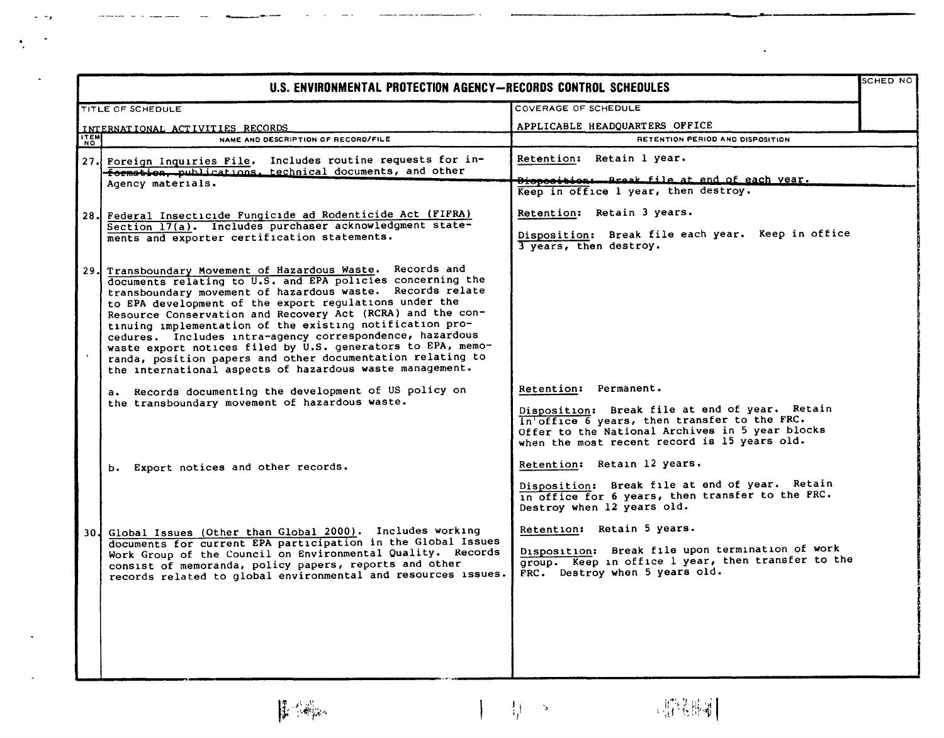| U.S. ENVIRONMENTAL PROTECTION AGENCY-RECORDS CONTROL SCHEDULES |                                                                                                                                                                                                                                                                                                                                                                                                                                                                                                                                                                                                                                |                                                                                                                                                                                                                            |  |
|----------------------------------------------------------------|--------------------------------------------------------------------------------------------------------------------------------------------------------------------------------------------------------------------------------------------------------------------------------------------------------------------------------------------------------------------------------------------------------------------------------------------------------------------------------------------------------------------------------------------------------------------------------------------------------------------------------|----------------------------------------------------------------------------------------------------------------------------------------------------------------------------------------------------------------------------|--|
|                                                                | TITLE OF SCHEDULE                                                                                                                                                                                                                                                                                                                                                                                                                                                                                                                                                                                                              | COVERAGE OF SCHEDULE                                                                                                                                                                                                       |  |
|                                                                | INTERNATIONAL ACTIVITIES RECORDS                                                                                                                                                                                                                                                                                                                                                                                                                                                                                                                                                                                               | APPLICABLE HEADQUARTERS OFFICE                                                                                                                                                                                             |  |
| <b>ITEM</b>                                                    | NAME AND DESCRIPTION OF RECORD/FILE                                                                                                                                                                                                                                                                                                                                                                                                                                                                                                                                                                                            | RETENTION PERIOD AND DISPOSITION                                                                                                                                                                                           |  |
|                                                                | 27. Foreign Inquiries File. Includes routine requests for in-<br>formation, publications, technical documents, and other                                                                                                                                                                                                                                                                                                                                                                                                                                                                                                       | Retention: Retain 1 year.                                                                                                                                                                                                  |  |
|                                                                | Agency materials.                                                                                                                                                                                                                                                                                                                                                                                                                                                                                                                                                                                                              | Dioposition - Break file at end of each year.<br>Keep in $office$ $l$ year, then destroy.                                                                                                                                  |  |
|                                                                |                                                                                                                                                                                                                                                                                                                                                                                                                                                                                                                                                                                                                                |                                                                                                                                                                                                                            |  |
|                                                                | 28. Federal Insecticide Fungicide ad Rodenticide Act (FIFRA)                                                                                                                                                                                                                                                                                                                                                                                                                                                                                                                                                                   | Retention: Retain 3 years.                                                                                                                                                                                                 |  |
|                                                                | Section 17(a). Includes purchaser acknowledgment state-<br>ments and exporter certification statements.                                                                                                                                                                                                                                                                                                                                                                                                                                                                                                                        | Disposition: Break file each year. Keep in office<br>3 years, then destroy.                                                                                                                                                |  |
|                                                                | 29. Transboundary Movement of Hazardous Waste. Records and<br>documents relating to U.S. and EPA policies concerning the<br>transboundary movement of hazardous waste. Records relate<br>to EPA development of the export regulations under the<br>Resource Conservation and Recovery Act (RCRA) and the con-<br>tinuing implementation of the existing notification pro-<br>cedures. Includes intra-agency correspondence, hazardous<br>waste export notices filed by U.S. generators to EPA, memo-<br>randa, position papers and other documentation relating to<br>the international aspects of hazardous waste management. |                                                                                                                                                                                                                            |  |
|                                                                | a. Records documenting the development of US policy on<br>the transboundary movement of hazardous waste.                                                                                                                                                                                                                                                                                                                                                                                                                                                                                                                       | Retention: Permanent.<br>Disposition: Break file at end of year. Retain<br>in office 6 years, then transfer to the FRC.<br>Offer to the National Archives in 5 year blocks<br>when the most recent record is 15 years old. |  |
|                                                                | b. Export notices and other records.                                                                                                                                                                                                                                                                                                                                                                                                                                                                                                                                                                                           | Retention: Retain 12 years.                                                                                                                                                                                                |  |
|                                                                |                                                                                                                                                                                                                                                                                                                                                                                                                                                                                                                                                                                                                                | Disposition: Break file at end of year. Retain<br>in office for 6 years, then transfer to the FRC.<br>Destroy when 12 years old.                                                                                           |  |
|                                                                | 30. Global Issues (Other than Global 2000). Includes working<br>documents for current EPA participation in the Global Issues<br>Work Group of the Council on Environmental Quality. Records<br>consist of memoranda, policy papers, reports and other<br>records related to global environmental and resources issues.                                                                                                                                                                                                                                                                                                         | Retention: Retain 5 years.<br>Disposition: Break file upon termination of work<br>group. Keep in office 1 year, then transfer to the<br>FRC. Destroy when 5 years old.                                                     |  |

 $\left\|\frac{\partial}{\partial t}\right\|_{\infty}^{\infty}=\frac{1}{\sqrt{2}}\left\|\frac{\partial}{\partial t}\right\|_{\infty}^{\infty}$ 

 $\sim$   $\sim$  $\ddot{\phantom{1}}$  $\frac{4}{3}$ 

 $\ddot{\phantom{0}}$ 

 $\ddot{\phantom{a}}$ 

 $\mathbb{Z}$ 

 $\frac{1}{4} \int_{\mathbb{R}^3} \frac{1}{\sqrt{2}} \, \delta$ 

 $\mathsf{I}$ 



 $\langle \bullet \rangle$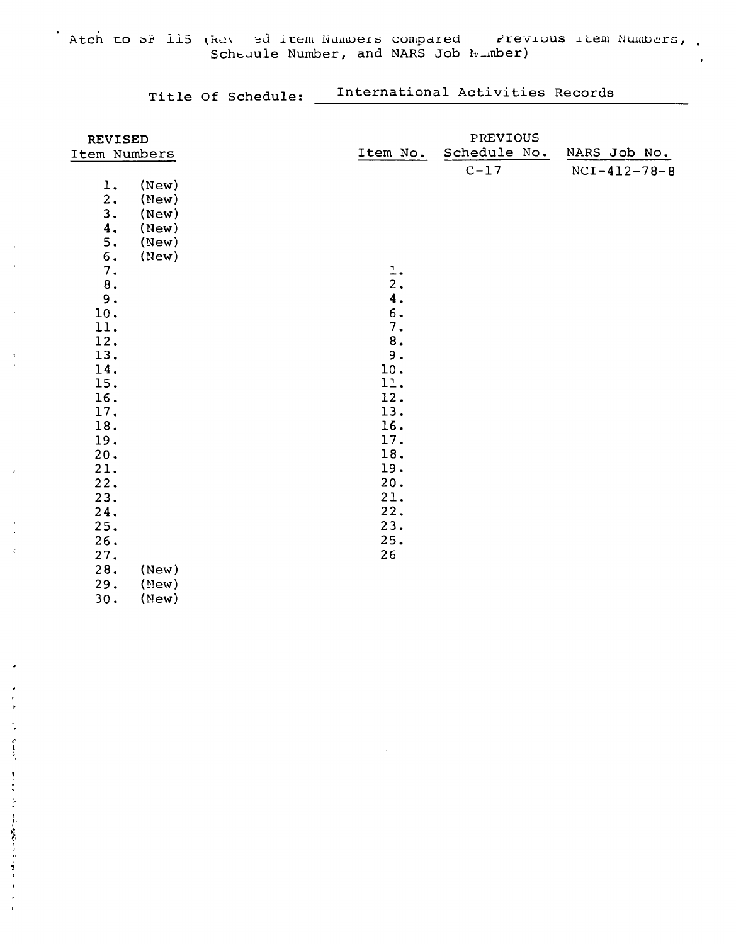Atch to SF 115 (Rev ed Item Numbers compared Revious Item Numbers, .

 $\mathbf{r}$ 

 $\bar{C}$ 

 $\bullet$ 

 $\bullet$  $\ddot{\phantom{a}}$ 

アーティーション きかいゆめ スタンド・オーバー

 $\ddot{\phantom{0}}$  $\bar{t}$  Title Of Schedule: \_ International Activities Records

| <b>REVISED</b> |           | PREVIOUS     |                      |
|----------------|-----------|--------------|----------------------|
| Item Numbers   | Item No.  | Schedule No. | NARS Job No.         |
|                |           | $C-17$       | $NCI - 412 - 78 - 8$ |
| (New)<br>1.    |           |              |                      |
| 2.<br>(New)    |           |              |                      |
| 3.<br>(New)    |           |              |                      |
| 4.<br>(New)    |           |              |                      |
| 5.<br>(New)    |           |              |                      |
| 6.<br>(New)    |           |              |                      |
| 7.             | 1.        |              |                      |
| $\bf 8$ .      | 2.        |              |                      |
| 9.             | 4.        |              |                      |
| 10.            | 6.        |              |                      |
| 11.            | 7.        |              |                      |
| 12.            | $\bf 8$ . |              |                      |
| 13.            | 9.        |              |                      |
| 14.            | 10.       |              |                      |
| 15.            | 11.       |              |                      |
| 16.            | 12.       |              |                      |
| 17.            | 13.       |              |                      |
| 18.            | 16.       |              |                      |
| 19.            | 17.       |              |                      |
| 20.            | 18.       |              |                      |
| 21.            | 19.       |              |                      |
| 22.            | 20.       |              |                      |
| 23.            | 21.       |              |                      |
| 24.            | 22.       |              |                      |
| 25.            | 23.       |              |                      |
| 26.            | 25.       |              |                      |
| 27.            | 26        |              |                      |
| 28.<br>(New)   |           |              |                      |
| 29.<br>(Mew)   |           |              |                      |
| 30.<br>(New)   |           |              |                      |